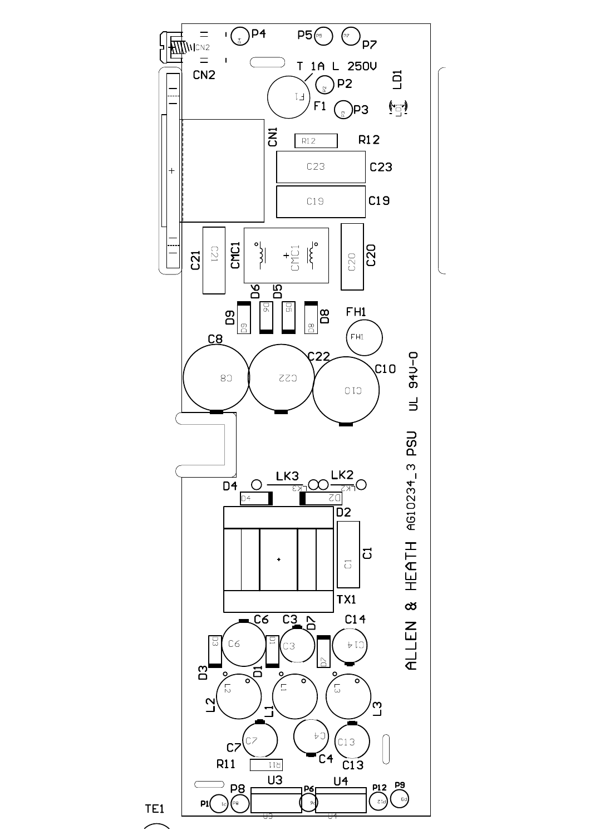

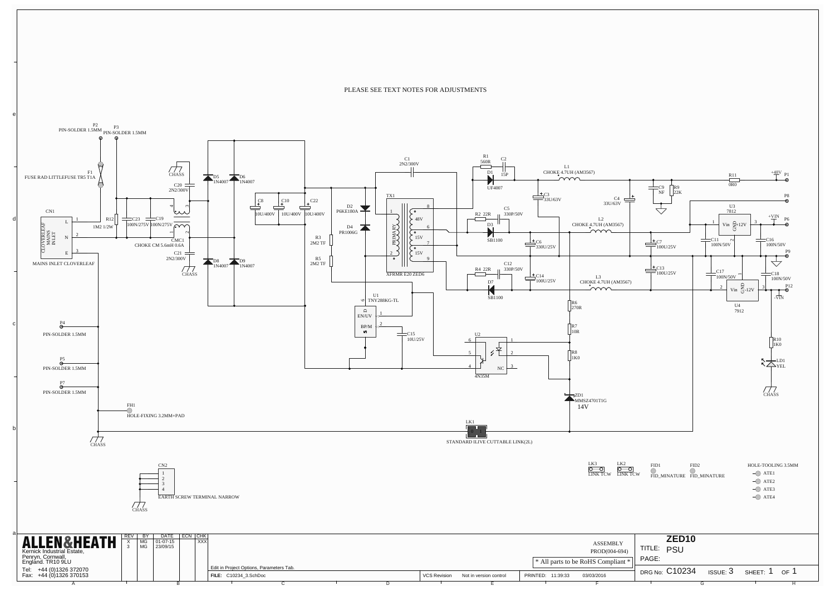PLEASE SEE TEXT NOTES FOR ADJUSTMENTS

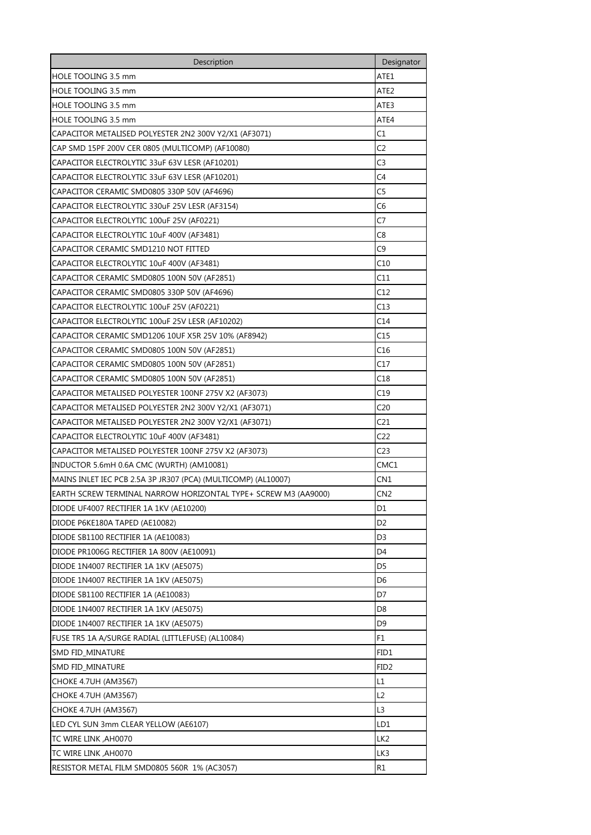| Description                                                    | Designator       |
|----------------------------------------------------------------|------------------|
| HOLE TOOLING 3.5 mm                                            | ATE1             |
| HOLE TOOLING 3.5 mm                                            | ATE2             |
| HOLE TOOLING 3.5 mm                                            | ATE3             |
| <b>HOLE TOOLING 3.5 mm</b>                                     | ATE4             |
| CAPACITOR METALISED POLYESTER 2N2 300V Y2/X1 (AF3071)          | C1               |
| CAP SMD 15PF 200V CER 0805 (MULTICOMP) (AF10080)               | C <sub>2</sub>   |
| CAPACITOR ELECTROLYTIC 33uF 63V LESR (AF10201)                 | C3               |
| CAPACITOR ELECTROLYTIC 33uF 63V LESR (AF10201)                 | C4               |
| CAPACITOR CERAMIC SMD0805 330P 50V (AF4696)                    | C5               |
| CAPACITOR ELECTROLYTIC 330uF 25V LESR (AF3154)                 | C6               |
| CAPACITOR ELECTROLYTIC 100uF 25V (AF0221)                      | C7               |
| CAPACITOR ELECTROLYTIC 10uF 400V (AF3481)                      | C8               |
| CAPACITOR CERAMIC SMD1210 NOT FITTED                           | C <sub>9</sub>   |
| CAPACITOR ELECTROLYTIC 10uF 400V (AF3481)                      | C10              |
| CAPACITOR CERAMIC SMD0805 100N 50V (AF2851)                    | C11              |
| CAPACITOR CERAMIC SMD0805 330P 50V (AF4696)                    | C12              |
| CAPACITOR ELECTROLYTIC 100uF 25V (AF0221)                      | C13              |
| CAPACITOR ELECTROLYTIC 100uF 25V LESR (AF10202)                | C14              |
| CAPACITOR CERAMIC SMD1206 10UF X5R 25V 10% (AF8942)            | C15              |
| CAPACITOR CERAMIC SMD0805 100N 50V (AF2851)                    | C16              |
| CAPACITOR CERAMIC SMD0805 100N 50V (AF2851)                    | C17              |
| CAPACITOR CERAMIC SMD0805 100N 50V (AF2851)                    | C18              |
| CAPACITOR METALISED POLYESTER 100NF 275V X2 (AF3073)           | C19              |
| CAPACITOR METALISED POLYESTER 2N2 300V Y2/X1 (AF3071)          | C20              |
| CAPACITOR METALISED POLYESTER 2N2 300V Y2/X1 (AF3071)          | C21              |
| CAPACITOR ELECTROLYTIC 10uF 400V (AF3481)                      | C22              |
| CAPACITOR METALISED POLYESTER 100NF 275V X2 (AF3073)           | C23              |
| INDUCTOR 5.6mH 0.6A CMC (WURTH) (AM10081)                      | CMC1             |
| MAINS INLET IEC PCB 2.5A 3P JR307 (PCA) (MULTICOMP) (AL10007)  | CN <sub>1</sub>  |
| EARTH SCREW TERMINAL NARROW HORIZONTAL TYPE+ SCREW M3 (AA9000) | CN <sub>2</sub>  |
| DIODE UF4007 RECTIFIER 1A 1KV (AE10200)                        | D1               |
| DIODE P6KE180A TAPED (AE10082)                                 | D <sub>2</sub>   |
| DIODE SB1100 RECTIFIER 1A (AE10083)                            | D3               |
| DIODE PR1006G RECTIFIER 1A 800V (AE10091)                      | D4               |
| DIODE 1N4007 RECTIFIER 1A 1KV (AE5075)                         | D5               |
| DIODE 1N4007 RECTIFIER 1A 1KV (AE5075)                         | D6               |
| DIODE SB1100 RECTIFIER 1A (AE10083)                            | D7               |
| DIODE 1N4007 RECTIFIER 1A 1KV (AE5075)                         | D8               |
| DIODE 1N4007 RECTIFIER 1A 1KV (AE5075)                         | D9               |
| FUSE TR5 1A A/SURGE RADIAL (LITTLEFUSE) (AL10084)              | F1               |
| <b>SMD FID_MINATURE</b>                                        | FID1             |
| SMD FID_MINATURE                                               | FID <sub>2</sub> |
| CHOKE 4.7UH (AM3567)                                           | L1               |
| CHOKE 4.7UH (AM3567)                                           | L2               |
| CHOKE 4.7UH (AM3567)                                           | L3               |
| LED CYL SUN 3mm CLEAR YELLOW (AE6107)                          | LD1              |
| TC WIRE LINK, AH0070                                           | LK <sub>2</sub>  |
| TC WIRE LINK, AH0070                                           | LK3              |
| RESISTOR METAL FILM SMD0805 560R 1% (AC3057)                   | R1               |